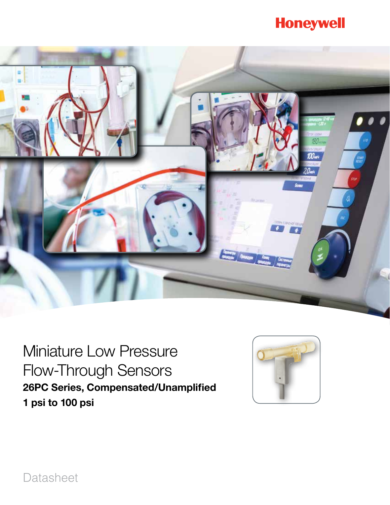# **Honeywell**



Miniature Low Pressure Flow-Through Sensors 26PC Series, Compensated/Unamplified 1 psi to 100 psi



Datasheet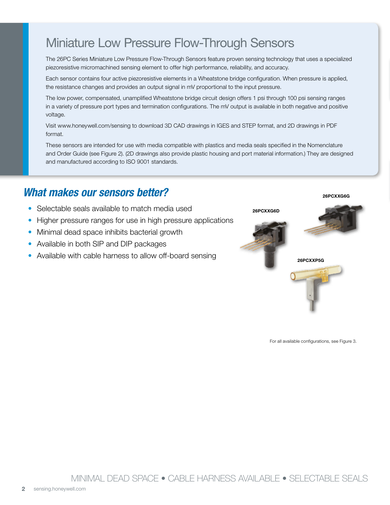# Miniature Low Pressure Flow-Through Sensors

The 26PC Series Miniature Low Pressure Flow-Through Sensors feature proven sensing technology that uses a specialized piezoresistive micromachined sensing element to offer high performance, reliability, and accuracy.

Each sensor contains four active piezoresistive elements in a Wheatstone bridge configuration. When pressure is applied, the resistance changes and provides an output signal in mV proportional to the input pressure.

The low power, compensated, unamplified Wheatstone bridge circuit design offers 1 psi through 100 psi sensing ranges in a variety of pressure port types and termination configurations. The mV output is available in both negative and positive voltage.

Visit www.honeywell.com/sensing to download 3D CAD drawings in IGES and STEP format, and 2D drawings in PDF format.

These sensors are intended for use with media compatible with plastics and media seals specified in the Nomenclature and Order Guide (see Figure 2). (2D drawings also provide plastic housing and port material information.) They are designed and manufactured according to ISO 9001 standards.

### *What makes our sensors better?*

- Selectable seals available to match media used
- Higher pressure ranges for use in high pressure applications
- Minimal dead space inhibits bacterial growth
- Available in both SIP and DIP packages
- Available with cable harness to allow off-board sensing



For all available configurations, see Figure 3.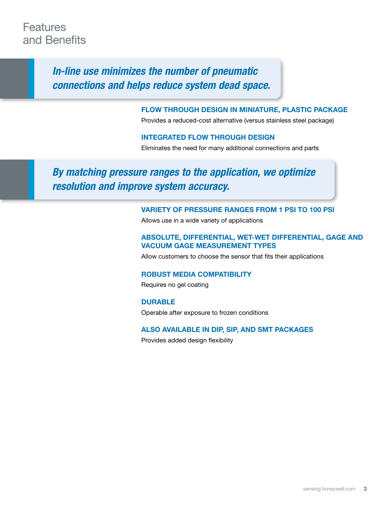### **Features** and Benefits

*In-line use minimizes the number of pneumatic connections and helps reduce system dead space.*

#### Flow through design in miniature, plastic package

Provides a reduced-cost alternative (versus stainless steel package)

#### Integrated flow through design

Eliminates the need for many additional connections and parts

### *By matching pressure ranges to the application, we optimize resolution and improve system accuracy.*

#### Variety of pressure ranges from 1 PSI to 100 psi

Allows use in a wide variety of applications

#### Absolute, differential, wet-wet differential, gage and vacuum gage measurement types

Allow customers to choose the sensor that fits their applications

#### Robust media compatibility

Requires no gel coating

**DURABLE** Operable after exposure to frozen conditions

#### Also available in DIP, SIP, and SMT packages

Provides added design flexibility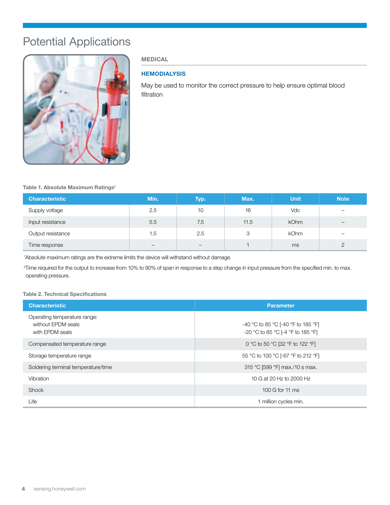## Potential Applications



#### MEDICAL

#### **HEMODIALYSIS**

May be used to monitor the correct pressure to help ensure optimal blood filtration

Table 1. Absolute Maximum Ratings<sup>1</sup>

| <b>Characteristic</b> | Min. | Typ.              | Max. | <b>Unit</b> | <b>Note</b>              |
|-----------------------|------|-------------------|------|-------------|--------------------------|
| Supply voltage        | 2.5  | 10                | 16   | Vdc         | -                        |
| Input resistance      | 5.5  | 7.5               | 11.5 | <b>kOhm</b> | $\overline{\phantom{0}}$ |
| Output resistance     | 1.5  | 2.5               | 3    | <b>kOhm</b> | $\overline{\phantom{0}}$ |
| Time response         | -    | $\qquad \qquad -$ |      | ms          | $\overline{2}$           |

1 Absolute maximum ratings are the extreme limits the device will withstand without damage.

2 Time required for the output to increase from 10% to 90% of span in response to a step change in input pressure from the specified min. to max. operating pressure.

#### Table 2. Technical Specifications

| <b>Characteristic</b>                                                 | <b>Parameter</b>                                                        |
|-----------------------------------------------------------------------|-------------------------------------------------------------------------|
| Operating temperature range:<br>without EPDM seals<br>with EPDM seals | -40 °C to 85 °C [-40 °F to 185 °F]<br>-20 °C to 85 °C [-4 °F to 185 °F] |
| Compensated temperature range                                         | 0 °C to 50 °C [32 °F to 122 °F]                                         |
| Storage temperature range                                             | 55 °C to 100 °C [-67 °F to 212 °F]                                      |
| Soldering terminal temperature/time                                   | 315 °C [599 °F] max./10 s max.                                          |
| Vibration                                                             | 10 G at 20 Hz to 2000 Hz                                                |
| Shock                                                                 | 100 G for 11 ms                                                         |
| Life                                                                  | 1 million cycles min.                                                   |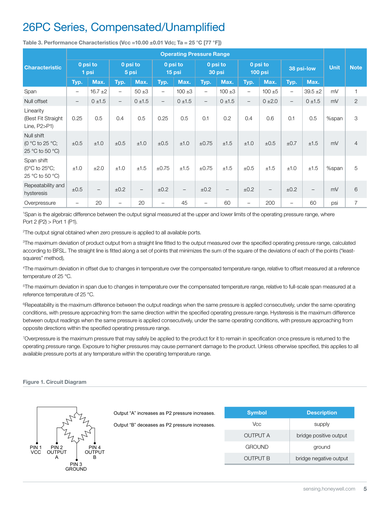### 26PC Series, Compensated/Unamplified

|                                                                      | <b>Operating Pressure Range</b> |                          |                          |                          |                          |                   |                          |                   |                          |                   |                          |                   |             |                |
|----------------------------------------------------------------------|---------------------------------|--------------------------|--------------------------|--------------------------|--------------------------|-------------------|--------------------------|-------------------|--------------------------|-------------------|--------------------------|-------------------|-------------|----------------|
| <b>Characteristic</b>                                                | 0 psi to<br>1 psi               |                          | 0 psi to<br>5 psi        |                          | 0 psi to<br>15 psi       |                   | 0 psi to<br>30 psi       |                   | 0 psi to<br>100 psi      |                   | 38 psi-low               |                   | <b>Unit</b> | <b>Note</b>    |
|                                                                      | Typ.                            | Max.                     | Typ.                     | Max.                     | Typ.                     | Max.              | Typ.                     | Max.              | Typ.                     | Max.              | Typ.                     | Max.              |             |                |
| Span                                                                 | $\qquad \qquad -$               | $16.7 \pm 2$             | $\overline{\phantom{0}}$ | $50 + 3$                 | $\overline{\phantom{m}}$ | $100 + 3$         | $\overline{\phantom{m}}$ | $100 + 3$         | $\overline{\phantom{0}}$ | $100 + 5$         | $\qquad \qquad -$        | $39.5 + 2$        | mV          | 1              |
| Null offset                                                          | $\overline{\phantom{0}}$        | $0 + 1.5$                | $-$                      | $0 + 1.5$                | $\overline{\phantom{a}}$ | $0 + 1.5$         | $-$                      | $0 \pm 1.5$       | $\overline{\phantom{0}}$ | $0 + 2.0$         | $\overline{\phantom{a}}$ | $0 + 1.5$         | mV          | 2              |
| Linearity<br>(Best Fit Straight<br>Line, P2>P1)                      | 0.25                            | 0.5                      | 0.4                      | 0.5                      | 0.25                     | 0.5               | 0.1                      | 0.2               | 0.4                      | 0.6               | 0.1                      | 0.5               | %span       | 3              |
| Null shift<br>(0 $\degree$ C to 25 $\degree$ C;<br>25 °C to 50 °C)   | ±0.5                            | ±1.0                     | $\pm 0.5$                | ±1.0                     | ±0.5                     | ±1.0              | $\pm 0.75$               | ±1.5              | ±1.0                     | ±0.5              | ±0.7                     | ±1.5              | mV          | $\overline{4}$ |
| Span shift<br>(0 $^{\circ}$ C to 25 $^{\circ}$ C;<br>25 °C to 50 °C) | ±1.0                            | ±2.0                     | ±1.0                     | ±1.5                     | $\pm 0.75$               | ±1.5              | $\pm 0.75$               | ±1.5              | $\pm 0.5$                | ±1.5              | ±1.0                     | ±1.5              | %span       | 5              |
| Repeatability and<br>hysteresis                                      | ±0.5                            | $\overline{\phantom{m}}$ | ±0.2                     | $\overline{\phantom{m}}$ | ±0.2                     | $\qquad \qquad -$ | ±0.2                     | $\qquad \qquad -$ | ±0.2                     | $\qquad \qquad -$ | ±0.2                     | $\qquad \qquad -$ | mV          | 6              |
| Overpressure                                                         | $\qquad \qquad -$               | 20                       | $\overline{\phantom{0}}$ | 20                       | $\qquad \qquad -$        | 45                | $\qquad \qquad -$        | 60                | $\qquad \qquad -$        | 200               | -                        | 60                | psi         | $\overline{7}$ |

Table 3. Performance Characteristics (Vcc =10.00  $\pm$ 0.01 Vdc; Ta = 25 °C [77 °F])

1 Span is the algebraic difference between the output signal measured at the upper and lower limits of the operating pressure range, where Port 2 (P2) > Port 1 (P1).

<sup>2</sup>The output signal obtained when zero pressure is applied to all available ports.

3 The maximum deviation of product output from a straight line fitted to the output measured over the specified operating pressure range, calculated according to BFSL. The straight line is fitted along a set of points that minimizes the sum of the square of the deviations of each of the points ("leastsquares" method),

4 The maximum deviation in offset due to changes in temperature over the compensated temperature range, relative to offset measured at a reference temperature of 25 °C.

<sup>5</sup>The maximum deviation in span due to changes in temperature over the compensated temperature range, relative to full-scale span measured at a reference temperature of 25 °C.

<sup>6</sup>Repeatability is the maximum difference between the output readings when the same pressure is applied consecutively, under the same operating conditions, with pressure approaching from the same direction within the specified operating pressure range. Hysteresis is the maximum difference between output readings when the same pressure is applied consecutively, under the same operating conditions, with pressure approaching from opposite directions within the specified operating pressure range.

7 Overpressure is the maximum pressure that may safely be applied to the product for it to remain in specification once pressure is returned to the operating pressure range. Exposure to higher pressures may cause permanent damage to the product. Unless otherwise specified, this applies to all available pressure ports at any temperature within the operating temperature range.

#### Figure 1. Circuit Diagram

|                                                                                        |                                               | Output "A" increases as P2 pressure increases. | <b>Symbol</b>   | <b>Description</b>     |  |  |
|----------------------------------------------------------------------------------------|-----------------------------------------------|------------------------------------------------|-----------------|------------------------|--|--|
|                                                                                        | Output "B" deceases as P2 pressure increases. | Vcc                                            | supply          |                        |  |  |
|                                                                                        |                                               |                                                | <b>OUTPUT A</b> | bridge positive output |  |  |
| PIN :<br>PIN <sub>2</sub><br>PIN <sub>4</sub><br><b>VCC</b><br>OUTPUT<br><b>OUTPUT</b> |                                               | <b>GROUND</b>                                  | ground          |                        |  |  |
| B<br>A                                                                                 |                                               |                                                | <b>OUTPUT B</b> | bridge negative output |  |  |
|                                                                                        | PIN <sub>3</sub><br><b>GROUND</b>             |                                                |                 |                        |  |  |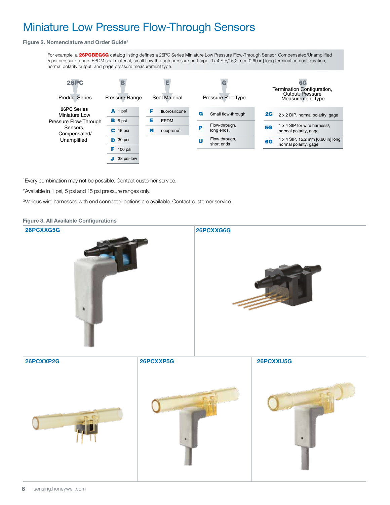#### Miniature Low Pressure Flow-Through Sensors **26PC Series Miniature Low Pressure Flow-Through Sensors, NIINIATURE LOW PRESS**

#### Figure 2. Nomenclature and Order Guide<sup>1</sup>

For example, a 26PCBEG6G catalog listing defines a 26PC Series Miniature Low Pressure Flow-Through Sensor, Compensated/Unamplified 5 psi pressure range, EPDM seal material, small flow-through pressure port type, 1x 4 SIP/15,2 mm [0.60 in] long termination configuration, normal polarity output, and gage pressure measurement type.



1 Every combination may not be possible. Contact customer service.

2Available in 1 psi, 5 psi and 15 psi pressure ranges only.

3 Various wire harnesses with end connector options are available. Contact customer service.

Figure 3. All Available Configurations 26PCXXG5G 26PCXXP2G 26PCXXP5G 26PCXXU5G 26PCXXG6G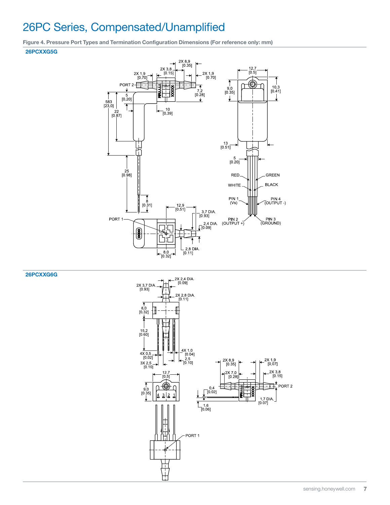## 26PC Series, Compensated/Unamplified

Figure 4. Pressure Port Types and Termination Configuration Dimensions (For reference only: mm) 26PCXXG5G



26PCXXG6G

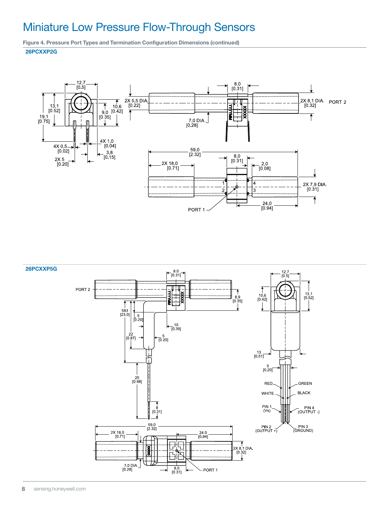## Miniature Low Pressure Flow-Through Sensors

Figure 4. Pressure Port Types and Termination Configuration Dimensions (continued)

#### 26PCXXP2G



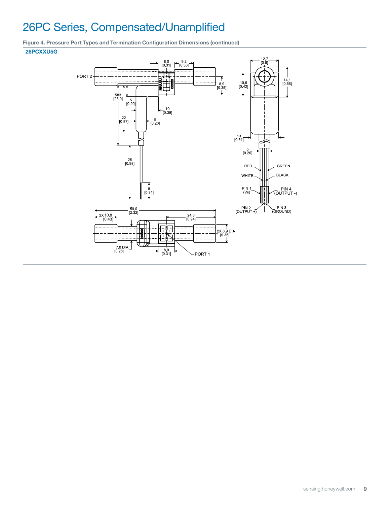# 26PC Series, Compensated/Unamplified

Figure 4. Pressure Port Types and Termination Configuration Dimensions (continued)

#### 26PCXXU5G